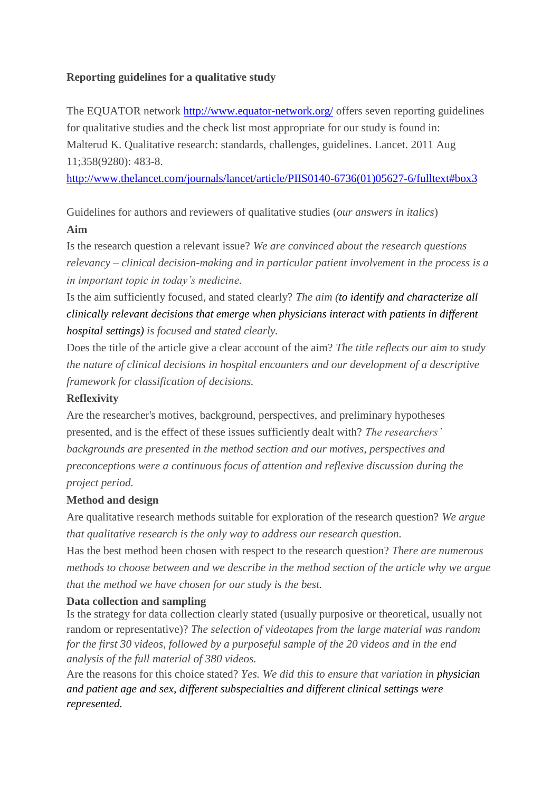# **Reporting guidelines for a qualitative study**

The EQUATOR network<http://www.equator-network.org/> offers seven reporting guidelines for qualitative studies and the check list most appropriate for our study is found in: Malterud K. Qualitative research: standards, challenges, guidelines. Lancet. 2011 Aug 11;358(9280): 483-8.

[http://www.thelancet.com/journals/lancet/article/PIIS0140-6736\(01\)05627-6/fulltext#box3](http://www.thelancet.com/journals/lancet/article/PIIS0140-6736(01)05627-6/fulltext#box3)

Guidelines for authors and reviewers of qualitative studies (*our answers in italics*) **Aim**

Is the research question a relevant issue? *We are convinced about the research questions relevancy – clinical decision-making and in particular patient involvement in the process is a in important topic in today's medicine.*

Is the aim sufficiently focused, and stated clearly? *The aim (to identify and characterize all clinically relevant decisions that emerge when physicians interact with patients in different hospital settings) is focused and stated clearly.*

Does the title of the article give a clear account of the aim? *The title reflects our aim to study the nature of clinical decisions in hospital encounters and our development of a descriptive framework for classification of decisions.* 

### **Reflexivity**

Are the researcher's motives, background, perspectives, and preliminary hypotheses presented, and is the effect of these issues sufficiently dealt with? *The researchers' backgrounds are presented in the method section and our motives, perspectives and preconceptions were a continuous focus of attention and reflexive discussion during the project period.*

### **Method and design**

Are qualitative research methods suitable for exploration of the research question? *We argue that qualitative research is the only way to address our research question.*

Has the best method been chosen with respect to the research question? *There are numerous methods to choose between and we describe in the method section of the article why we argue that the method we have chosen for our study is the best.*

### **Data collection and sampling**

Is the strategy for data collection clearly stated (usually purposive or theoretical, usually not random or representative)? *The selection of videotapes from the large material was random for the first 30 videos, followed by a purposeful sample of the 20 videos and in the end analysis of the full material of 380 videos.*

Are the reasons for this choice stated? *Yes. We did this to ensure that variation in physician and patient age and sex, different subspecialties and different clinical settings were represented.*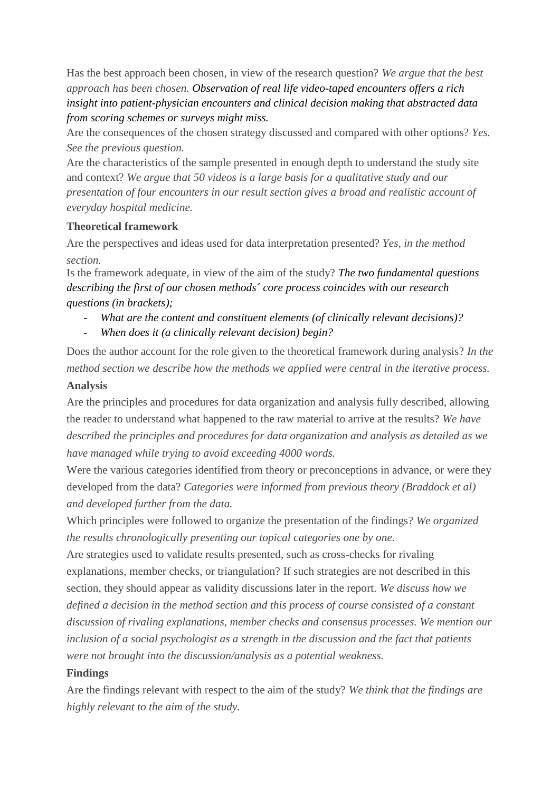Has the best approach been chosen, in view of the research question? *We argue that the best approach has been chosen. Observation of real life video-taped encounters offers a rich insight into patient-physician encounters and clinical decision making that abstracted data from scoring schemes or surveys might miss.*

Are the consequences of the chosen strategy discussed and compared with other options? *Yes. See the previous question.*

Are the characteristics of the sample presented in enough depth to understand the study site and context? *We argue that 50 videos is a large basis for a qualitative study and our presentation of four encounters in our result section gives a broad and realistic account of everyday hospital medicine.*

## **Theoretical framework**

Are the perspectives and ideas used for data interpretation presented? *Yes, in the method section.*

Is the framework adequate, in view of the aim of the study? *The two fundamental questions describing the first of our chosen methods´ core process coincides with our research questions (in brackets);*

- *What are the content and constituent elements (of clinically relevant decisions)?*
- *When does it (a clinically relevant decision) begin?*

Does the author account for the role given to the theoretical framework during analysis? *In the method section we describe how the methods we applied were central in the iterative process.*

# **Analysis**

Are the principles and procedures for data organization and analysis fully described, allowing the reader to understand what happened to the raw material to arrive at the results? *We have described the principles and procedures for data organization and analysis as detailed as we have managed while trying to avoid exceeding 4000 words.* 

Were the various categories identified from theory or preconceptions in advance, or were they developed from the data? *Categories were informed from previous theory (Braddock et al) and developed further from the data.*

Which principles were followed to organize the presentation of the findings? *We organized the results chronologically presenting our topical categories one by one.*

Are strategies used to validate results presented, such as cross-checks for rivaling explanations, member checks, or triangulation? If such strategies are not described in this section, they should appear as validity discussions later in the report. *We discuss how we defined a decision in the method section and this process of course consisted of a constant discussion of rivaling explanations, member checks and consensus processes. We mention our inclusion of a social psychologist as a strength in the discussion and the fact that patients were not brought into the discussion/analysis as a potential weakness.*

# **Findings**

Are the findings relevant with respect to the aim of the study? *We think that the findings are highly relevant to the aim of the study.*